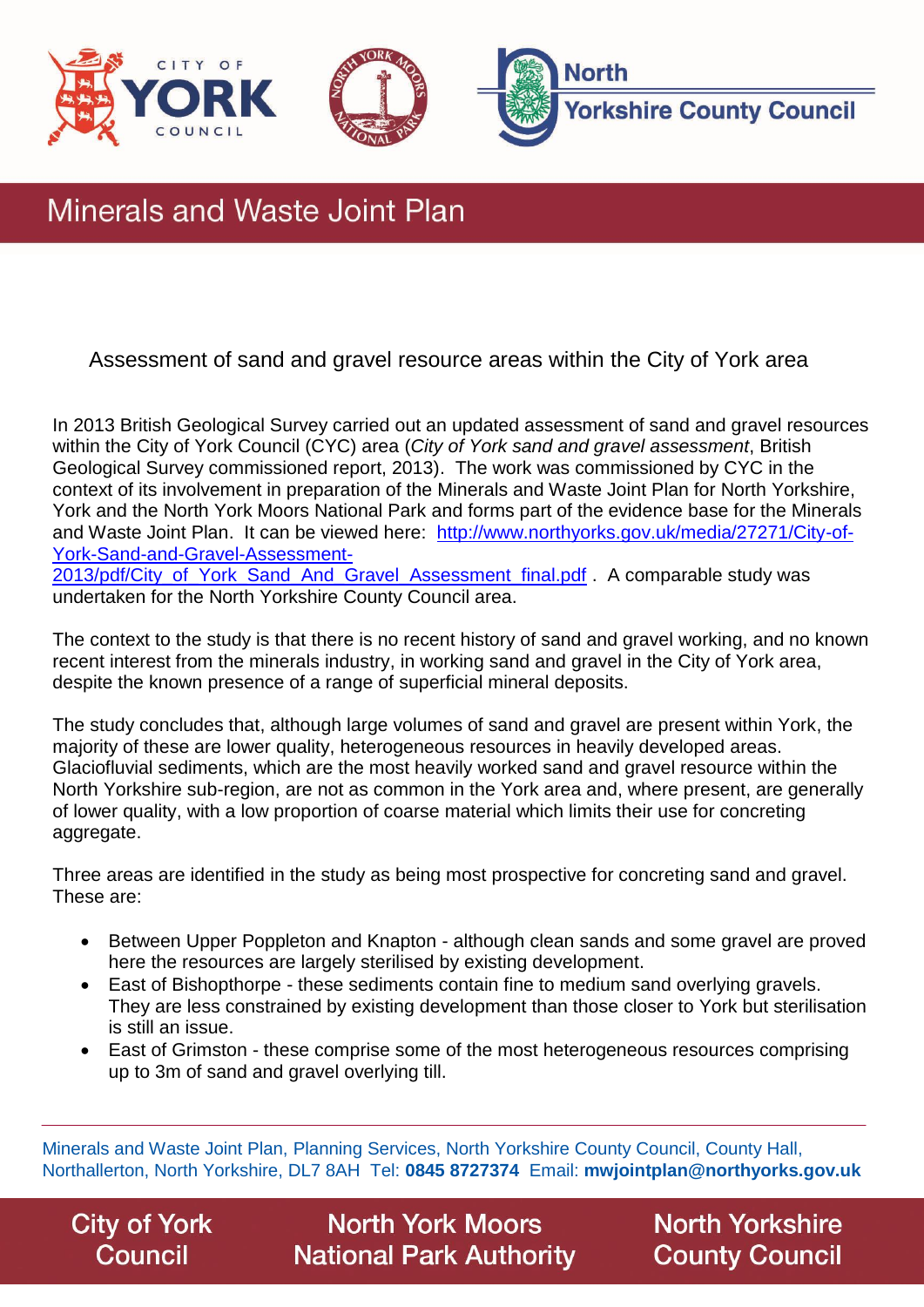

**Minerals and Waste Joint Plan** 

# Assessment of sand and gravel resource areas within the City of York area

In 2013 British Geological Survey carried out an updated assessment of sand and gravel resources within the City of York Council (CYC) area (*City of York sand and gravel assessment*, British Geological Survey commissioned report, 2013). The work was commissioned by CYC in the context of its involvement in preparation of the Minerals and Waste Joint Plan for North Yorkshire, York and the North York Moors National Park and forms part of the evidence base for the Minerals and Waste Joint Plan. It can be viewed here: [http://www.northyorks.gov.uk/media/27271/City-of-](http://www.northyorks.gov.uk/media/27271/City-of-York-Sand-and-Gravel-Assessment-2013/pdf/City_of_York_Sand_And_Gravel_Assessment_final.pdf)[York-Sand-and-Gravel-Assessment-](http://www.northyorks.gov.uk/media/27271/City-of-York-Sand-and-Gravel-Assessment-2013/pdf/City_of_York_Sand_And_Gravel_Assessment_final.pdf)[2013/pdf/City\\_of\\_York\\_Sand\\_And\\_Gravel\\_Assessment\\_final.pdf](http://www.northyorks.gov.uk/media/27271/City-of-York-Sand-and-Gravel-Assessment-2013/pdf/City_of_York_Sand_And_Gravel_Assessment_final.pdf) . A comparable study was undertaken for the North Yorkshire County Council area.

The context to the study is that there is no recent history of sand and gravel working, and no known recent interest from the minerals industry, in working sand and gravel in the City of York area, despite the known presence of a range of superficial mineral deposits.

The study concludes that, although large volumes of sand and gravel are present within York, the majority of these are lower quality, heterogeneous resources in heavily developed areas. Glaciofluvial sediments, which are the most heavily worked sand and gravel resource within the North Yorkshire sub-region, are not as common in the York area and, where present, are generally of lower quality, with a low proportion of coarse material which limits their use for concreting aggregate.

Three areas are identified in the study as being most prospective for concreting sand and gravel. These are:

- Between Upper Poppleton and Knapton although clean sands and some gravel are proved here the resources are largely sterilised by existing development.
- East of Bishopthorpe these sediments contain fine to medium sand overlying gravels. They are less constrained by existing development than those closer to York but sterilisation is still an issue.
- East of Grimston these comprise some of the most heterogeneous resources comprising up to 3m of sand and gravel overlying till.

Minerals and Waste Joint Plan, Planning Services, North Yorkshire County Council, County Hall, Northallerton, North Yorkshire, DL7 8AH Tel: **0845 8727374** Email: **mwjointplan@northyorks.gov.uk**

**City of York Council** 

**North York Moors National Park Authority** 

**North Yorkshire County Council**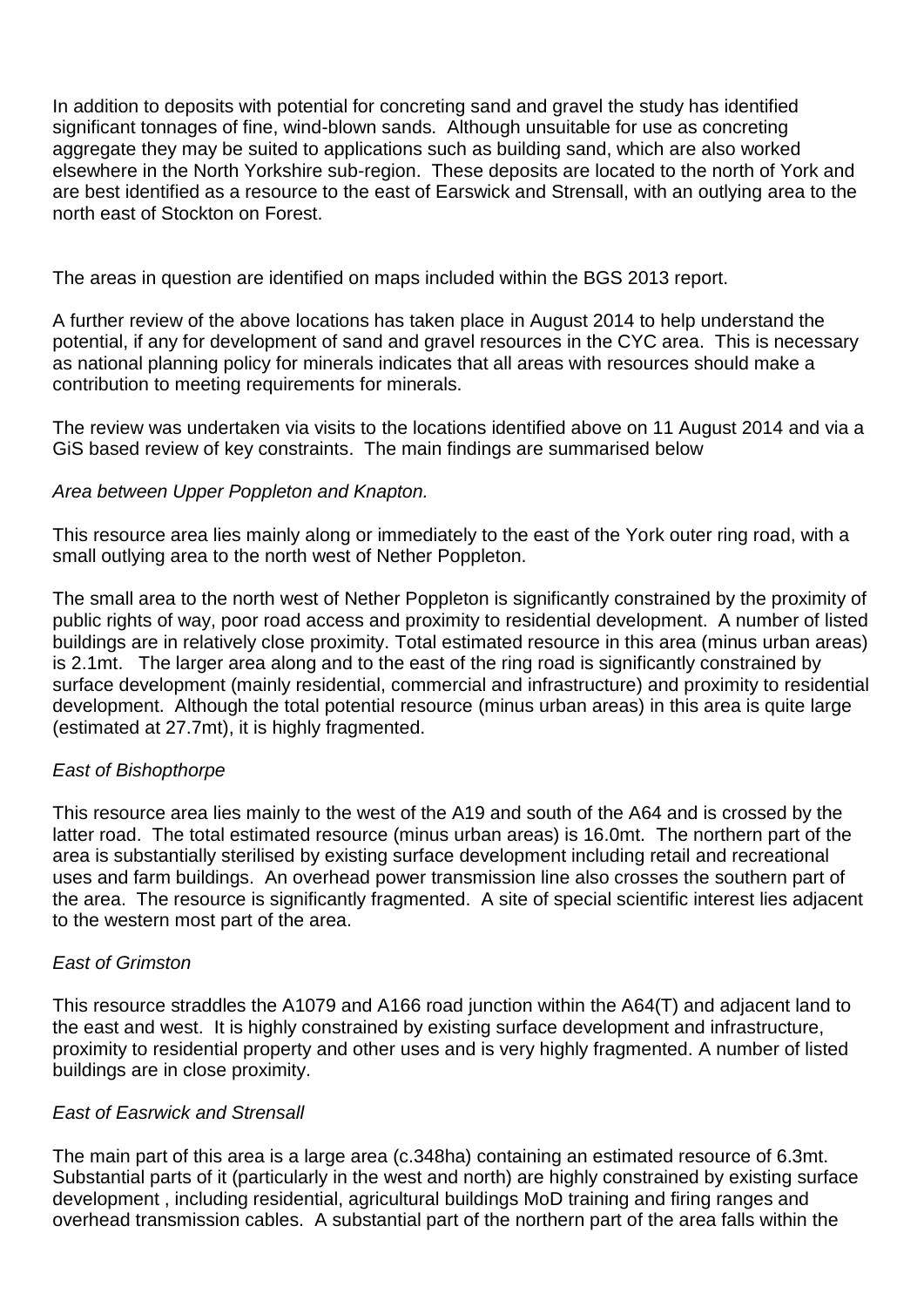In addition to deposits with potential for concreting sand and gravel the study has identified significant tonnages of fine, wind-blown sands. Although unsuitable for use as concreting aggregate they may be suited to applications such as building sand, which are also worked elsewhere in the North Yorkshire sub-region. These deposits are located to the north of York and are best identified as a resource to the east of Earswick and Strensall, with an outlying area to the north east of Stockton on Forest.

The areas in question are identified on maps included within the BGS 2013 report.

A further review of the above locations has taken place in August 2014 to help understand the potential, if any for development of sand and gravel resources in the CYC area. This is necessary as national planning policy for minerals indicates that all areas with resources should make a contribution to meeting requirements for minerals.

The review was undertaken via visits to the locations identified above on 11 August 2014 and via a GiS based review of key constraints. The main findings are summarised below

## *Area between Upper Poppleton and Knapton.*

This resource area lies mainly along or immediately to the east of the York outer ring road, with a small outlying area to the north west of Nether Poppleton.

The small area to the north west of Nether Poppleton is significantly constrained by the proximity of public rights of way, poor road access and proximity to residential development. A number of listed buildings are in relatively close proximity. Total estimated resource in this area (minus urban areas) is 2.1mt. The larger area along and to the east of the ring road is significantly constrained by surface development (mainly residential, commercial and infrastructure) and proximity to residential development. Although the total potential resource (minus urban areas) in this area is quite large (estimated at 27.7mt), it is highly fragmented.

## *East of Bishopthorpe*

This resource area lies mainly to the west of the A19 and south of the A64 and is crossed by the latter road. The total estimated resource (minus urban areas) is 16.0mt. The northern part of the area is substantially sterilised by existing surface development including retail and recreational uses and farm buildings. An overhead power transmission line also crosses the southern part of the area. The resource is significantly fragmented. A site of special scientific interest lies adjacent to the western most part of the area.

## *East of Grimston*

This resource straddles the A1079 and A166 road junction within the A64(T) and adjacent land to the east and west. It is highly constrained by existing surface development and infrastructure, proximity to residential property and other uses and is very highly fragmented. A number of listed buildings are in close proximity.

## *East of Easrwick and Strensall*

The main part of this area is a large area (c.348ha) containing an estimated resource of 6.3mt. Substantial parts of it (particularly in the west and north) are highly constrained by existing surface development , including residential, agricultural buildings MoD training and firing ranges and overhead transmission cables. A substantial part of the northern part of the area falls within the